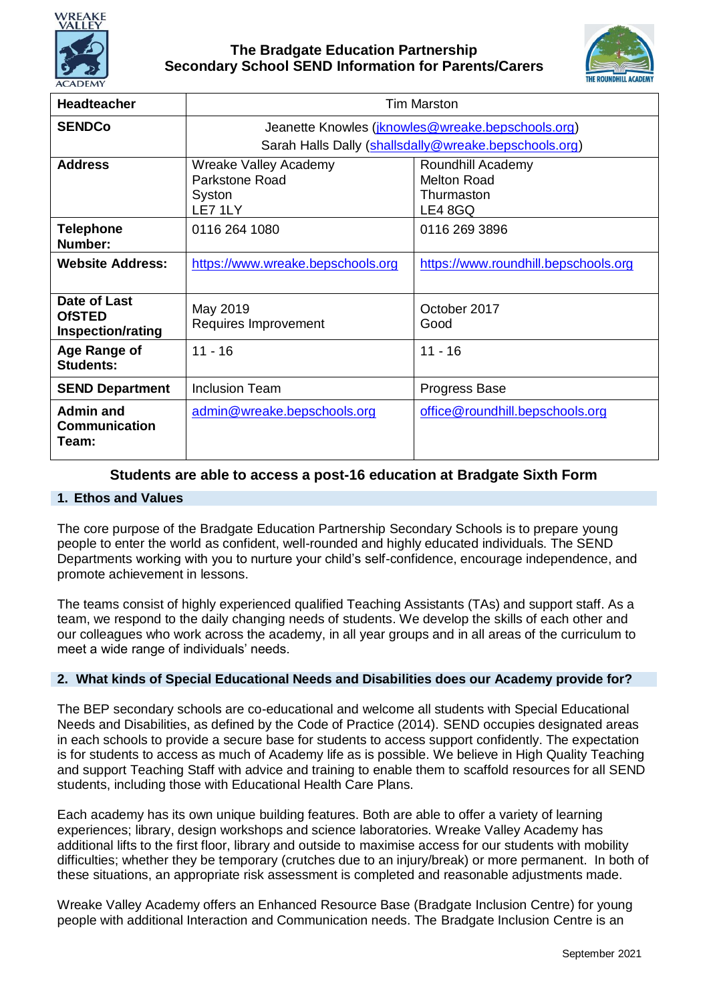



| <b>Headteacher</b>                                        | Tim Marston                                                  |                                                                  |
|-----------------------------------------------------------|--------------------------------------------------------------|------------------------------------------------------------------|
| <b>SENDCo</b>                                             | Jeanette Knowles ( <i>jknowles@wreake.bepschools.org</i> )   |                                                                  |
|                                                           | Sarah Halls Dally (shallsdally@wreake.bepschools.org)        |                                                                  |
| <b>Address</b>                                            | Wreake Valley Academy<br>Parkstone Road<br>Syston<br>LE7 1LY | Roundhill Academy<br><b>Melton Road</b><br>Thurmaston<br>LE4 8GQ |
| <b>Telephone</b><br>Number:                               | 0116 264 1080                                                | 0116 269 3896                                                    |
| <b>Website Address:</b>                                   | https://www.wreake.bepschools.org                            | https://www.roundhill.bepschools.org                             |
| Date of Last<br><b>OfSTED</b><br><b>Inspection/rating</b> | May 2019<br>Requires Improvement                             | October 2017<br>Good                                             |
| Age Range of<br><b>Students:</b>                          | $11 - 16$                                                    | $11 - 16$                                                        |
| <b>SEND Department</b>                                    | <b>Inclusion Team</b>                                        | Progress Base                                                    |
| Admin and<br><b>Communication</b><br>Team:                | admin@wreake.bepschools.org                                  | office@roundhill.bepschools.org                                  |

## **Students are able to access a post-16 education at Bradgate Sixth Form**

### **1. Ethos and Values**

The core purpose of the Bradgate Education Partnership Secondary Schools is to prepare young people to enter the world as confident, well-rounded and highly educated individuals. The SEND Departments working with you to nurture your child's self-confidence, encourage independence, and promote achievement in lessons.

The teams consist of highly experienced qualified Teaching Assistants (TAs) and support staff. As a team, we respond to the daily changing needs of students. We develop the skills of each other and our colleagues who work across the academy, in all year groups and in all areas of the curriculum to meet a wide range of individuals' needs.

#### **2. What kinds of Special Educational Needs and Disabilities does our Academy provide for?**

The BEP secondary schools are co-educational and welcome all students with Special Educational Needs and Disabilities, as defined by the Code of Practice (2014). SEND occupies designated areas in each schools to provide a secure base for students to access support confidently. The expectation is for students to access as much of Academy life as is possible. We believe in High Quality Teaching and support Teaching Staff with advice and training to enable them to scaffold resources for all SEND students, including those with Educational Health Care Plans.

Each academy has its own unique building features. Both are able to offer a variety of learning experiences; library, design workshops and science laboratories. Wreake Valley Academy has additional lifts to the first floor, library and outside to maximise access for our students with mobility difficulties; whether they be temporary (crutches due to an injury/break) or more permanent. In both of these situations, an appropriate risk assessment is completed and reasonable adjustments made.

Wreake Valley Academy offers an Enhanced Resource Base (Bradgate Inclusion Centre) for young people with additional Interaction and Communication needs. The Bradgate Inclusion Centre is an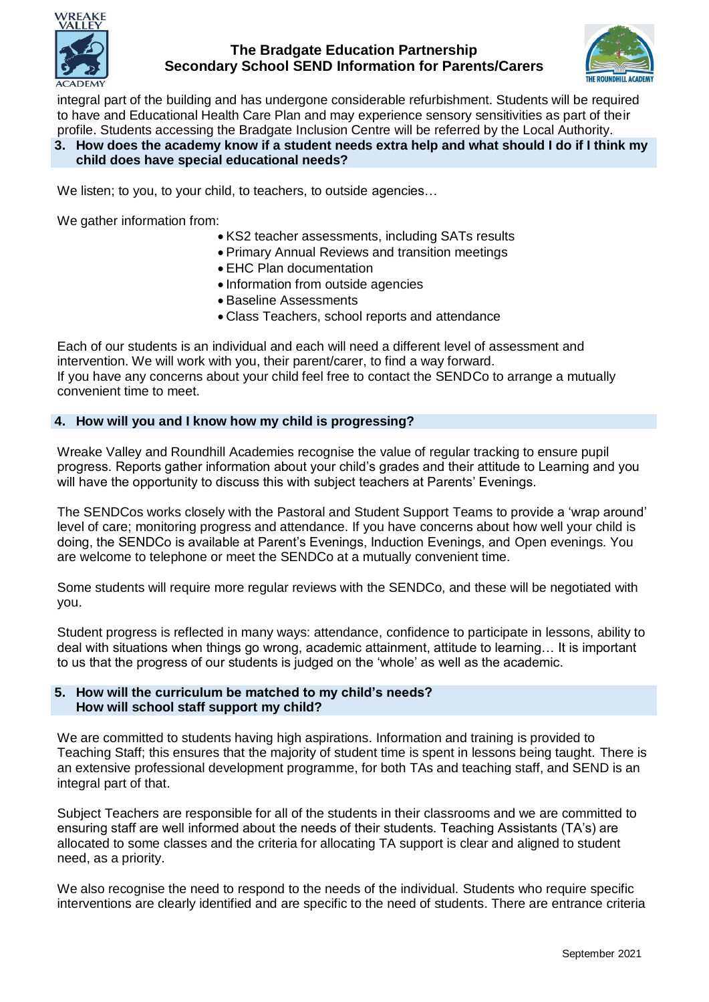



integral part of the building and has undergone considerable refurbishment. Students will be required to have and Educational Health Care Plan and may experience sensory sensitivities as part of their profile. Students accessing the Bradgate Inclusion Centre will be referred by the Local Authority.

### **3. How does the academy know if a student needs extra help and what should I do if I think my child does have special educational needs?**

We listen; to you, to your child, to teachers, to outside agencies…

We gather information from:

- KS2 teacher assessments, including SATs results
- Primary Annual Reviews and transition meetings
- EHC Plan documentation
- Information from outside agencies
- Baseline Assessments
- Class Teachers, school reports and attendance

Each of our students is an individual and each will need a different level of assessment and intervention. We will work with you, their parent/carer, to find a way forward. If you have any concerns about your child feel free to contact the SENDCo to arrange a mutually convenient time to meet.

### **4. How will you and I know how my child is progressing?**

Wreake Valley and Roundhill Academies recognise the value of regular tracking to ensure pupil progress. Reports gather information about your child's grades and their attitude to Learning and you will have the opportunity to discuss this with subject teachers at Parents' Evenings.

The SENDCos works closely with the Pastoral and Student Support Teams to provide a 'wrap around' level of care; monitoring progress and attendance. If you have concerns about how well your child is doing, the SENDCo is available at Parent's Evenings, Induction Evenings, and Open evenings. You are welcome to telephone or meet the SENDCo at a mutually convenient time.

Some students will require more regular reviews with the SENDCo, and these will be negotiated with you.

Student progress is reflected in many ways: attendance, confidence to participate in lessons, ability to deal with situations when things go wrong, academic attainment, attitude to learning… It is important to us that the progress of our students is judged on the 'whole' as well as the academic.

#### **5. How will the curriculum be matched to my child's needs? How will school staff support my child?**

We are committed to students having high aspirations. Information and training is provided to Teaching Staff; this ensures that the majority of student time is spent in lessons being taught. There is an extensive professional development programme, for both TAs and teaching staff, and SEND is an integral part of that.

Subject Teachers are responsible for all of the students in their classrooms and we are committed to ensuring staff are well informed about the needs of their students. Teaching Assistants (TA's) are allocated to some classes and the criteria for allocating TA support is clear and aligned to student need, as a priority.

We also recognise the need to respond to the needs of the individual. Students who require specific interventions are clearly identified and are specific to the need of students. There are entrance criteria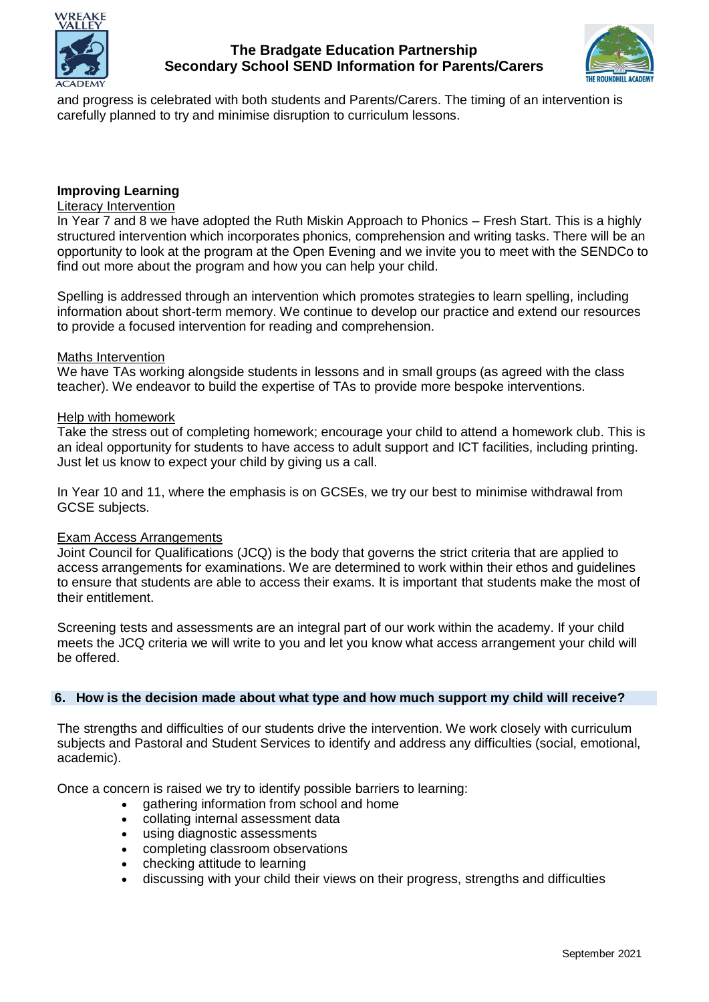



and progress is celebrated with both students and Parents/Carers. The timing of an intervention is carefully planned to try and minimise disruption to curriculum lessons.

## **Improving Learning**

## Literacy Intervention

In Year 7 and 8 we have adopted the Ruth Miskin Approach to Phonics – Fresh Start. This is a highly structured intervention which incorporates phonics, comprehension and writing tasks. There will be an opportunity to look at the program at the Open Evening and we invite you to meet with the SENDCo to find out more about the program and how you can help your child.

Spelling is addressed through an intervention which promotes strategies to learn spelling, including information about short-term memory. We continue to develop our practice and extend our resources to provide a focused intervention for reading and comprehension.

#### Maths Intervention

We have TAs working alongside students in lessons and in small groups (as agreed with the class teacher). We endeavor to build the expertise of TAs to provide more bespoke interventions.

#### Help with homework

Take the stress out of completing homework; encourage your child to attend a homework club. This is an ideal opportunity for students to have access to adult support and ICT facilities, including printing. Just let us know to expect your child by giving us a call.

In Year 10 and 11, where the emphasis is on GCSEs, we try our best to minimise withdrawal from GCSE subjects.

#### Exam Access Arrangements

Joint Council for Qualifications (JCQ) is the body that governs the strict criteria that are applied to access arrangements for examinations. We are determined to work within their ethos and guidelines to ensure that students are able to access their exams. It is important that students make the most of their entitlement.

Screening tests and assessments are an integral part of our work within the academy. If your child meets the JCQ criteria we will write to you and let you know what access arrangement your child will be offered.

#### **6. How is the decision made about what type and how much support my child will receive?**

The strengths and difficulties of our students drive the intervention. We work closely with curriculum subjects and Pastoral and Student Services to identify and address any difficulties (social, emotional, academic).

Once a concern is raised we try to identify possible barriers to learning:

- gathering information from school and home
- collating internal assessment data
- using diagnostic assessments
- completing classroom observations
- checking attitude to learning
- discussing with your child their views on their progress, strengths and difficulties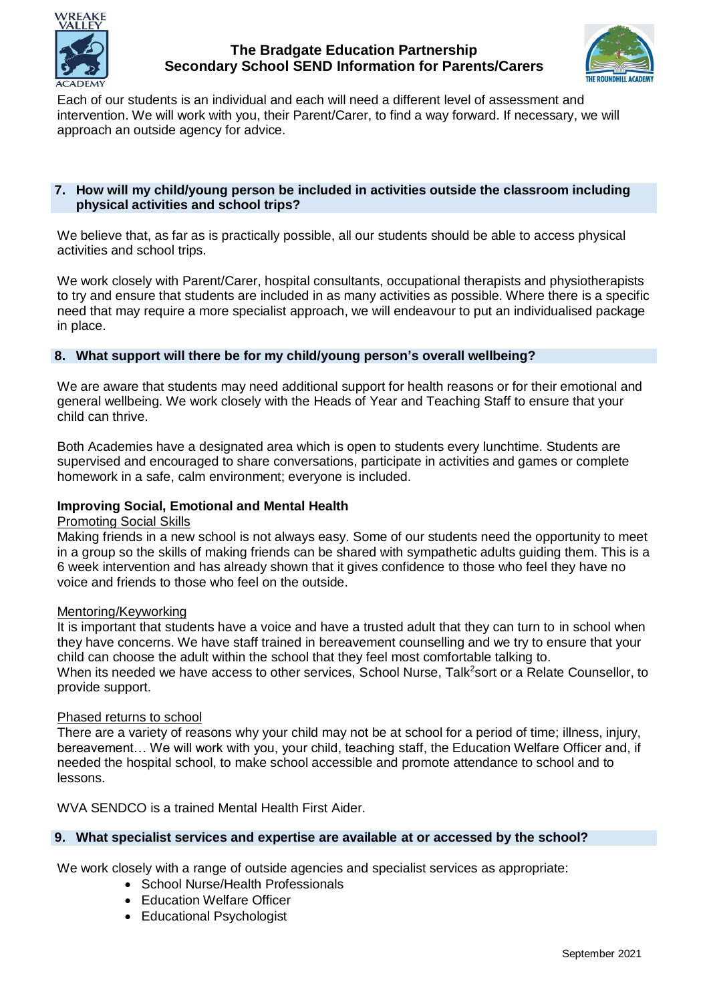



Each of our students is an individual and each will need a different level of assessment and intervention. We will work with you, their Parent/Carer, to find a way forward. If necessary, we will approach an outside agency for advice.

### **7. How will my child/young person be included in activities outside the classroom including physical activities and school trips?**

We believe that, as far as is practically possible, all our students should be able to access physical activities and school trips.

We work closely with Parent/Carer, hospital consultants, occupational therapists and physiotherapists to try and ensure that students are included in as many activities as possible. Where there is a specific need that may require a more specialist approach, we will endeavour to put an individualised package in place.

### **8. What support will there be for my child/young person's overall wellbeing?**

We are aware that students may need additional support for health reasons or for their emotional and general wellbeing. We work closely with the Heads of Year and Teaching Staff to ensure that your child can thrive.

Both Academies have a designated area which is open to students every lunchtime. Students are supervised and encouraged to share conversations, participate in activities and games or complete homework in a safe, calm environment; everyone is included.

## **Improving Social, Emotional and Mental Health**

### Promoting Social Skills

Making friends in a new school is not always easy. Some of our students need the opportunity to meet in a group so the skills of making friends can be shared with sympathetic adults guiding them. This is a 6 week intervention and has already shown that it gives confidence to those who feel they have no voice and friends to those who feel on the outside.

### Mentoring/Keyworking

It is important that students have a voice and have a trusted adult that they can turn to in school when they have concerns. We have staff trained in bereavement counselling and we try to ensure that your child can choose the adult within the school that they feel most comfortable talking to. When its needed we have access to other services, School Nurse, Talk<sup>2</sup>sort or a Relate Counsellor, to provide support.

#### Phased returns to school

There are a variety of reasons why your child may not be at school for a period of time; illness, injury, bereavement… We will work with you, your child, teaching staff, the Education Welfare Officer and, if needed the hospital school, to make school accessible and promote attendance to school and to lessons.

WVA SENDCO is a trained Mental Health First Aider.

### **9. What specialist services and expertise are available at or accessed by the school?**

We work closely with a range of outside agencies and specialist services as appropriate:

- School Nurse/Health Professionals
- Education Welfare Officer
- Educational Psychologist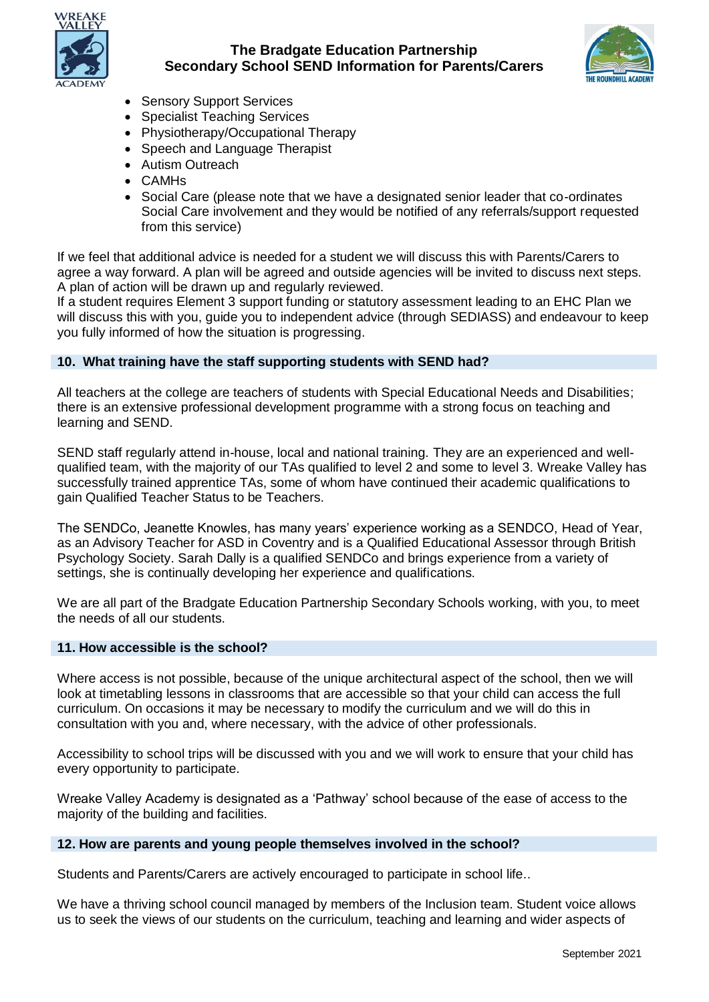



- Sensory Support Services
- Specialist Teaching Services
- Physiotherapy/Occupational Therapy
- Speech and Language Therapist
- Autism Outreach
- CAMHs
- Social Care (please note that we have a designated senior leader that co-ordinates Social Care involvement and they would be notified of any referrals/support requested from this service)

If we feel that additional advice is needed for a student we will discuss this with Parents/Carers to agree a way forward. A plan will be agreed and outside agencies will be invited to discuss next steps. A plan of action will be drawn up and regularly reviewed.

If a student requires Element 3 support funding or statutory assessment leading to an EHC Plan we will discuss this with you, guide you to independent advice (through SEDIASS) and endeavour to keep you fully informed of how the situation is progressing.

### **10. What training have the staff supporting students with SEND had?**

All teachers at the college are teachers of students with Special Educational Needs and Disabilities; there is an extensive professional development programme with a strong focus on teaching and learning and SEND.

SEND staff regularly attend in-house, local and national training. They are an experienced and wellqualified team, with the majority of our TAs qualified to level 2 and some to level 3. Wreake Valley has successfully trained apprentice TAs, some of whom have continued their academic qualifications to gain Qualified Teacher Status to be Teachers.

The SENDCo, Jeanette Knowles, has many years' experience working as a SENDCO, Head of Year, as an Advisory Teacher for ASD in Coventry and is a Qualified Educational Assessor through British Psychology Society. Sarah Dally is a qualified SENDCo and brings experience from a variety of settings, she is continually developing her experience and qualifications.

We are all part of the Bradgate Education Partnership Secondary Schools working, with you, to meet the needs of all our students.

#### **11. How accessible is the school?**

Where access is not possible, because of the unique architectural aspect of the school, then we will look at timetabling lessons in classrooms that are accessible so that your child can access the full curriculum. On occasions it may be necessary to modify the curriculum and we will do this in consultation with you and, where necessary, with the advice of other professionals.

Accessibility to school trips will be discussed with you and we will work to ensure that your child has every opportunity to participate.

Wreake Valley Academy is designated as a 'Pathway' school because of the ease of access to the majority of the building and facilities.

#### **12. How are parents and young people themselves involved in the school?**

Students and Parents/Carers are actively encouraged to participate in school life..

We have a thriving school council managed by members of the Inclusion team. Student voice allows us to seek the views of our students on the curriculum, teaching and learning and wider aspects of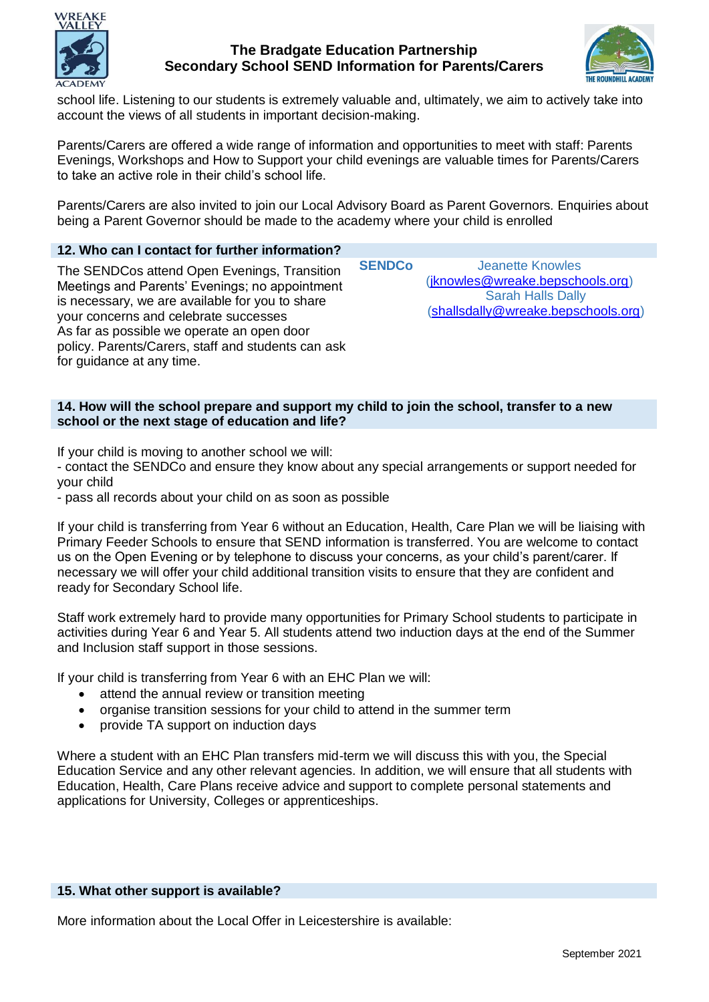



school life. Listening to our students is extremely valuable and, ultimately, we aim to actively take into account the views of all students in important decision-making.

Parents/Carers are offered a wide range of information and opportunities to meet with staff: Parents Evenings, Workshops and How to Support your child evenings are valuable times for Parents/Carers to take an active role in their child's school life.

Parents/Carers are also invited to join our Local Advisory Board as Parent Governors. Enquiries about being a Parent Governor should be made to the academy where your child is enrolled

## **12. Who can I contact for further information?**

The SENDCos attend Open Evenings, Transition Meetings and Parents' Evenings; no appointment is necessary, we are available for you to share your concerns and celebrate successes As far as possible we operate an open door policy. Parents/Carers, staff and students can ask for guidance at any time.

**SENDCo** Jeanette Knowles [\(jknowles@wreake.bepschools.org\)](mailto:jknowles@wreake.bepschools.org) Sarah Halls Dally [\(shallsdally@wreake.bepschools.org\)](mailto:shallsdally@wreake.bepschools.org)

### **14. How will the school prepare and support my child to join the school, transfer to a new school or the next stage of education and life?**

If your child is moving to another school we will:

- contact the SENDCo and ensure they know about any special arrangements or support needed for your child

- pass all records about your child on as soon as possible

If your child is transferring from Year 6 without an Education, Health, Care Plan we will be liaising with Primary Feeder Schools to ensure that SEND information is transferred. You are welcome to contact us on the Open Evening or by telephone to discuss your concerns, as your child's parent/carer. If necessary we will offer your child additional transition visits to ensure that they are confident and ready for Secondary School life.

Staff work extremely hard to provide many opportunities for Primary School students to participate in activities during Year 6 and Year 5. All students attend two induction days at the end of the Summer and Inclusion staff support in those sessions.

If your child is transferring from Year 6 with an EHC Plan we will:

- attend the annual review or transition meeting
- organise transition sessions for your child to attend in the summer term
- provide TA support on induction days

Where a student with an EHC Plan transfers mid-term we will discuss this with you, the Special Education Service and any other relevant agencies. In addition, we will ensure that all students with Education, Health, Care Plans receive advice and support to complete personal statements and applications for University, Colleges or apprenticeships.

#### **15. What other support is available?**

More information about the Local Offer in Leicestershire is available: